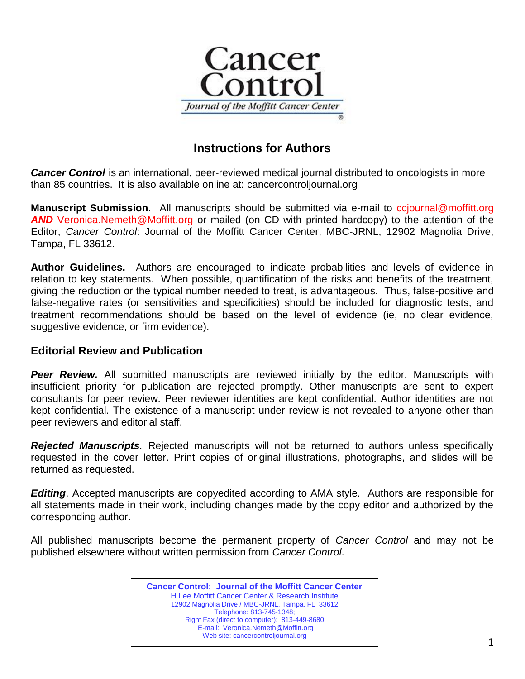

# **Instructions for Authors**

**Cancer Control** is an international, peer-reviewed medical journal distributed to oncologists in more than 85 countries. It is also available online at: cancercontroljournal.org

**Manuscript Submission**. All manuscripts should be submitted via e-mail to ccjournal@moffitt.org *AND* Veronica.Nemeth@Moffitt.org or mailed (on CD with printed hardcopy) to the attention of the Editor, *Cancer Control*: Journal of the Moffitt Cancer Center, MBC-JRNL, 12902 Magnolia Drive, Tampa, FL 33612.

**Author Guidelines.** Authors are encouraged to indicate probabilities and levels of evidence in relation to key statements. When possible, quantification of the risks and benefits of the treatment, giving the reduction or the typical number needed to treat, is advantageous. Thus, false-positive and false-negative rates (or sensitivities and specificities) should be included for diagnostic tests, and treatment recommendations should be based on the level of evidence (ie, no clear evidence, suggestive evidence, or firm evidence).

## **Editorial Review and Publication**

*Peer Review.* All submitted manuscripts are reviewed initially by the editor. Manuscripts with insufficient priority for publication are rejected promptly. Other manuscripts are sent to expert consultants for peer review. Peer reviewer identities are kept confidential. Author identities are not kept confidential. The existence of a manuscript under review is not revealed to anyone other than peer reviewers and editorial staff.

*Rejected Manuscripts.* Rejected manuscripts will not be returned to authors unless specifically requested in the cover letter. Print copies of original illustrations, photographs, and slides will be returned as requested.

*Editing*. Accepted manuscripts are copyedited according to AMA style. Authors are responsible for all statements made in their work, including changes made by the copy editor and authorized by the corresponding author.

All published manuscripts become the permanent property of *Cancer Control* and may not be published elsewhere without written permission from *Cancer Control*.

> **Cancer Control: Journal of the Moffitt Cancer Center** H Lee Moffitt Cancer Center & Research Institute 12902 Magnolia Drive / MBC-JRNL, Tampa, FL 33612 Telephone: 813-745-1348; Right Fax (direct to computer): 813-449-8680; E-mail: Veronica.Nemeth@Moffitt.org Web site: cancercontroljournal.org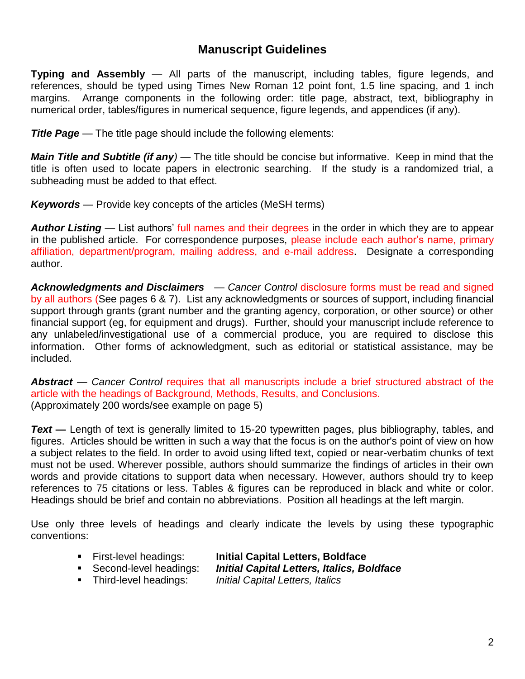## **Manuscript Guidelines**

**Typing and Assembly** — All parts of the manuscript, including tables, figure legends, and references, should be typed using Times New Roman 12 point font, 1.5 line spacing, and 1 inch margins. Arrange components in the following order: title page, abstract, text, bibliography in numerical order, tables/figures in numerical sequence, figure legends, and appendices (if any).

*Title Page* — The title page should include the following elements:

*Main Title and Subtitle (if any) —* The title should be concise but informative. Keep in mind that the title is often used to locate papers in electronic searching. If the study is a randomized trial, a subheading must be added to that effect.

*Keywords —* Provide key concepts of the articles (MeSH terms)

*Author Listing* — List authors' full names and their degrees in the order in which they are to appear in the published article. For correspondence purposes, please include each author's name, primary affiliation, department/program, mailing address, and e-mail address. Designate a corresponding author.

*Acknowledgments and Disclaimers — Cancer Control* disclosure forms must be read and signed by all authors (See pages 6 & 7). List any acknowledgments or sources of support, including financial support through grants (grant number and the granting agency, corporation, or other source) or other financial support (eg, for equipment and drugs). Further, should your manuscript include reference to any unlabeled/investigational use of a commercial produce, you are required to disclose this information. Other forms of acknowledgment, such as editorial or statistical assistance, may be included.

*Abstract* — *Cancer Control* requires that all manuscripts include a brief structured abstract of the article with the headings of Background, Methods, Results, and Conclusions. (Approximately 200 words/see example on page 5)

*Text* — Length of text is generally limited to 15-20 typewritten pages, plus bibliography, tables, and figures. Articles should be written in such a way that the focus is on the author's point of view on how a subject relates to the field. In order to avoid using lifted text, copied or near-verbatim chunks of text must not be used. Wherever possible, authors should summarize the findings of articles in their own words and provide citations to support data when necessary. However, authors should try to keep references to 75 citations or less. Tables & figures can be reproduced in black and white or color. Headings should be brief and contain no abbreviations. Position all headings at the left margin.

Use only three levels of headings and clearly indicate the levels by using these typographic conventions:

- First-level headings: **Initial Capital Letters, Boldface**
- Second-level headings: *Initial Capital Letters, Italics, Boldface*
- Third-level headings: *Initial Capital Letters, Italics*
	-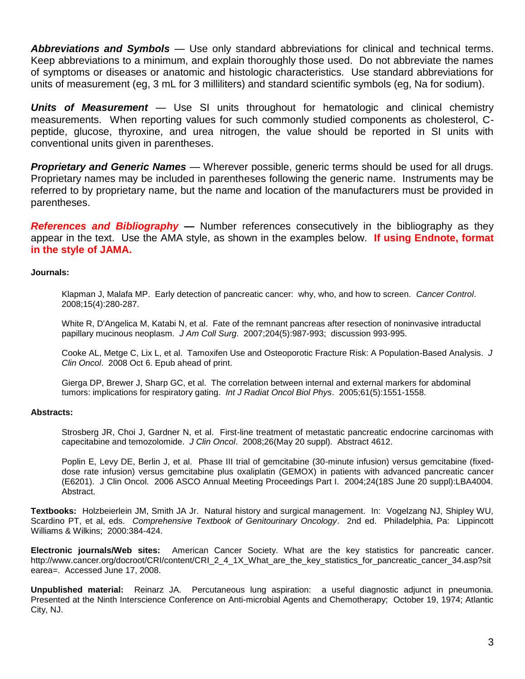*Abbreviations and Symbols* — Use only standard abbreviations for clinical and technical terms. Keep abbreviations to a minimum, and explain thoroughly those used. Do not abbreviate the names of symptoms or diseases or anatomic and histologic characteristics. Use standard abbreviations for units of measurement (eg, 3 mL for 3 milliliters) and standard scientific symbols (eg, Na for sodium).

*Units of Measurement —* Use SI units throughout for hematologic and clinical chemistry measurements. When reporting values for such commonly studied components as cholesterol, Cpeptide, glucose, thyroxine, and urea nitrogen, the value should be reported in SI units with conventional units given in parentheses.

*Proprietary and Generic Names —* Wherever possible, generic terms should be used for all drugs. Proprietary names may be included in parentheses following the generic name. Instruments may be referred to by proprietary name, but the name and location of the manufacturers must be provided in parentheses.

**References and Bibliography** — Number references consecutively in the bibliography as they appear in the text. Use the AMA style, as shown in the examples below. **If using Endnote, format in the style of JAMA.**

### **Journals:**

Klapman J, Malafa MP. Early detection of pancreatic cancer: why, who, and how to screen. *Cancer Control*. 2008;15(4):280-287.

White R, D'Angelica M, Katabi N, et al. Fate of the remnant pancreas after resection of noninvasive intraductal papillary mucinous neoplasm. *J Am Coll Surg*. 2007;204(5):987-993; discussion 993-995.

Cooke AL, Metge C, Lix L, et al. Tamoxifen Use and Osteoporotic Fracture Risk: A Population-Based Analysis. *J Clin Oncol*. 2008 Oct 6. Epub ahead of print.

Gierga DP, Brewer J, Sharp GC, et al. The correlation between internal and external markers for abdominal tumors: implications for respiratory gating. *Int J Radiat Oncol Biol Phys*. 2005;61(5):1551-1558.

### **Abstracts:**

Strosberg JR, Choi J, Gardner N, et al. First-line treatment of metastatic pancreatic endocrine carcinomas with capecitabine and temozolomide. *J Clin Oncol*. 2008;26(May 20 suppl). Abstract 4612.

Poplin E, Levy DE, Berlin J, et al. Phase III trial of gemcitabine (30-minute infusion) versus gemcitabine (fixeddose rate infusion) versus gemcitabine plus oxaliplatin (GEMOX) in patients with advanced pancreatic cancer (E6201). J Clin Oncol. 2006 ASCO Annual Meeting Proceedings Part I. 2004;24(18S June 20 suppl):LBA4004. Abstract.

**Textbooks:** Holzbeierlein JM, Smith JA Jr. Natural history and surgical management. In: Vogelzang NJ, Shipley WU, Scardino PT, et al, eds. *Comprehensive Textbook of Genitourinary Oncology*. 2nd ed. Philadelphia, Pa: Lippincott Williams & Wilkins; 2000:384-424.

**Electronic journals/Web sites:** American Cancer Society. What are the key statistics for pancreatic cancer. http://www.cancer.org/docroot/CRI/content/CRI\_2\_4\_1X\_What\_are\_the\_key\_statistics\_for\_pancreatic\_cancer\_34.asp?sit earea=. Accessed June 17, 2008.

**Unpublished material:** Reinarz JA. Percutaneous lung aspiration: a useful diagnostic adjunct in pneumonia. Presented at the Ninth Interscience Conference on Anti-microbial Agents and Chemotherapy; October 19, 1974; Atlantic City, NJ.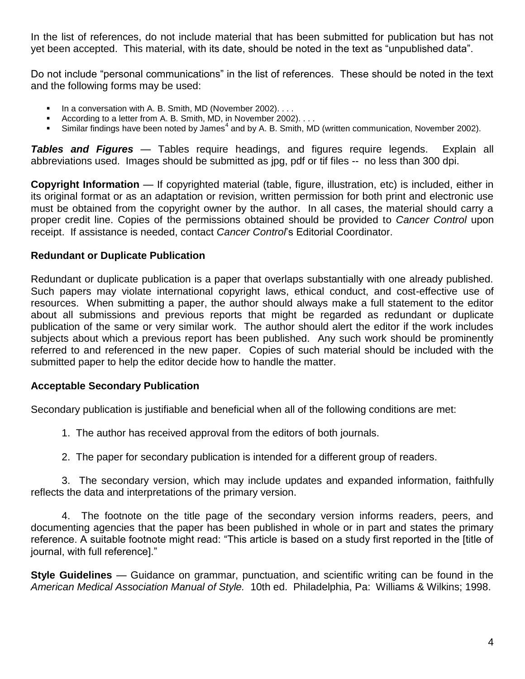In the list of references, do not include material that has been submitted for publication but has not yet been accepted. This material, with its date, should be noted in the text as "unpublished data".

Do not include "personal communications" in the list of references. These should be noted in the text and the following forms may be used:

- In a conversation with A. B. Smith, MD (November 2002). . . .
- According to a letter from A. B. Smith, MD, in November 2002). . . .
- Similar findings have been noted by James<sup>4</sup> and by A. B. Smith, MD (written communication, November 2002).

*Tables and Figures* — Tables require headings, and figures require legends. Explain all abbreviations used. Images should be submitted as jpg, pdf or tif files -- no less than 300 dpi.

**Copyright Information** *—* If copyrighted material (table, figure, illustration, etc) is included, either in its original format or as an adaptation or revision, written permission for both print and electronic use must be obtained from the copyright owner by the author. In all cases, the material should carry a proper credit line. Copies of the permissions obtained should be provided to *Cancer Control* upon receipt. If assistance is needed, contact *Cancer Control*'s Editorial Coordinator.

### **Redundant or Duplicate Publication**

Redundant or duplicate publication is a paper that overlaps substantially with one already published. Such papers may violate international copyright laws, ethical conduct, and cost-effective use of resources. When submitting a paper, the author should always make a full statement to the editor about all submissions and previous reports that might be regarded as redundant or duplicate publication of the same or very similar work. The author should alert the editor if the work includes subjects about which a previous report has been published. Any such work should be prominently referred to and referenced in the new paper. Copies of such material should be included with the submitted paper to help the editor decide how to handle the matter.

### **Acceptable Secondary Publication**

Secondary publication is justifiable and beneficial when all of the following conditions are met:

- 1. The author has received approval from the editors of both journals.
- 2. The paper for secondary publication is intended for a different group of readers.

3. The secondary version, which may include updates and expanded information, faithfully reflects the data and interpretations of the primary version.

4. The footnote on the title page of the secondary version informs readers, peers, and documenting agencies that the paper has been published in whole or in part and states the primary reference. A suitable footnote might read: "This article is based on a study first reported in the [title of journal, with full reference]."

**Style Guidelines** *—* Guidance on grammar, punctuation, and scientific writing can be found in the *American Medical Association Manual of Style.* 10th ed. Philadelphia, Pa: Williams & Wilkins; 1998.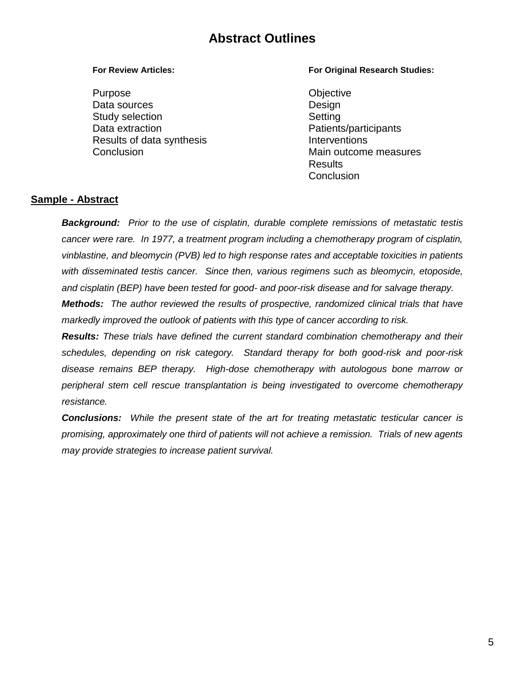# **Abstract Outlines**

Purpose **Objective** Data sources Design Study selection Setting Data extraction extraction and the patients/participants Results of data synthesis **Interventions** 

### **For Review Articles: For Original Research Studies:**

Conclusion Main outcome measures Results **Conclusion** 

### **Sample - Abstract**

*Background: Prior to the use of cisplatin, durable complete remissions of metastatic testis cancer were rare. In 1977, a treatment program including a chemotherapy program of cisplatin, vinblastine, and bleomycin (PVB) led to high response rates and acceptable toxicities in patients with disseminated testis cancer. Since then, various regimens such as bleomycin, etoposide, and cisplatin (BEP) have been tested for good- and poor-risk disease and for salvage therapy. Methods: The author reviewed the results of prospective, randomized clinical trials that have markedly improved the outlook of patients with this type of cancer according to risk.*

*Results: These trials have defined the current standard combination chemotherapy and their schedules, depending on risk category. Standard therapy for both good-risk and poor-risk disease remains BEP therapy. High-dose chemotherapy with autologous bone marrow or peripheral stem cell rescue transplantation is being investigated to overcome chemotherapy resistance.* 

*Conclusions: While the present state of the art for treating metastatic testicular cancer is promising, approximately one third of patients will not achieve a remission. Trials of new agents may provide strategies to increase patient survival.*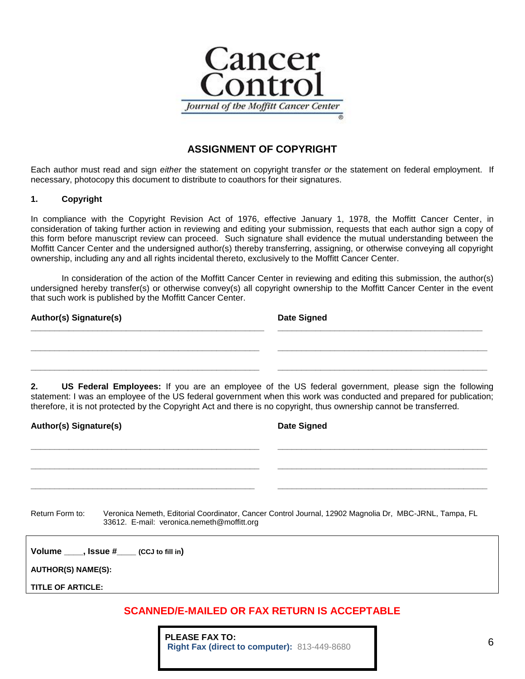

### **ASSIGNMENT OF COPYRIGHT**

Each author must read and sign *either* the statement on copyright transfer *or* the statement on federal employment. If necessary, photocopy this document to distribute to coauthors for their signatures.

### **1. Copyright**

In compliance with the Copyright Revision Act of 1976, effective January 1, 1978, the Moffitt Cancer Center, in consideration of taking further action in reviewing and editing your submission, requests that each author sign a copy of this form before manuscript review can proceed. Such signature shall evidence the mutual understanding between the Moffitt Cancer Center and the undersigned author(s) thereby transferring, assigning, or otherwise conveying all copyright ownership, including any and all rights incidental thereto, exclusively to the Moffitt Cancer Center.

In consideration of the action of the Moffitt Cancer Center in reviewing and editing this submission, the author(s) undersigned hereby transfer(s) or otherwise convey(s) all copyright ownership to the Moffitt Cancer Center in the event that such work is published by the Moffitt Cancer Center.

| <b>Author(s) Signature(s)</b> | <b>Date Signed</b> |
|-------------------------------|--------------------|
|                               |                    |
|                               |                    |
|                               |                    |

**2. US Federal Employees:** If you are an employee of the US federal government, please sign the following statement: I was an employee of the US federal government when this work was conducted and prepared for publication; therefore, it is not protected by the Copyright Act and there is no copyright, thus ownership cannot be transferred.

| <b>Author(s) Signature(s)</b>                                 | <b>Date Signed</b>                                                                                     |
|---------------------------------------------------------------|--------------------------------------------------------------------------------------------------------|
|                                                               |                                                                                                        |
|                                                               |                                                                                                        |
|                                                               |                                                                                                        |
| Return Form to:<br>33612. E-mail: veronica.nemeth@moffitt.org | Veronica Nemeth, Editorial Coordinator, Cancer Control Journal, 12902 Magnolia Dr, MBC-JRNL, Tampa, FL |
| Volume _____, Issue #____ (CCJ to fill in)                    |                                                                                                        |
| <b>AUTHOR(S) NAME(S):</b>                                     |                                                                                                        |
| <b>TITLE OF ARTICLE:</b>                                      |                                                                                                        |
|                                                               |                                                                                                        |

### **SCANNED/E-MAILED OR FAX RETURN IS ACCEPTABLE**

**PLEASE FAX TO: Right Fax (direct to computer):** 813-449-8680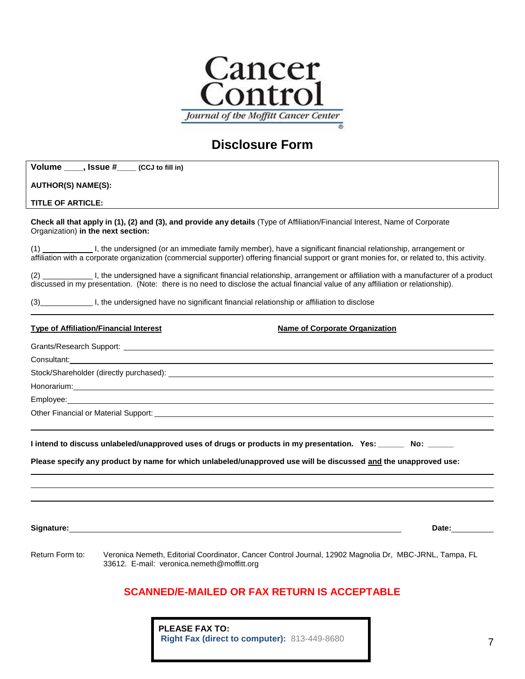

# **Disclosure Form**

| Volume _____, Issue #____ (CCJ to fill in)    |                                                                                                                                                                                                                                                                     |
|-----------------------------------------------|---------------------------------------------------------------------------------------------------------------------------------------------------------------------------------------------------------------------------------------------------------------------|
| <b>AUTHOR(S) NAME(S):</b>                     |                                                                                                                                                                                                                                                                     |
| <b>TITLE OF ARTICLE:</b>                      |                                                                                                                                                                                                                                                                     |
| Organization) in the next section:            | Check all that apply in (1), (2) and (3), and provide any details (Type of Affiliation/Financial Interest, Name of Corporate                                                                                                                                        |
|                                               | (1) I, the undersigned (or an immediate family member), have a significant financial relationship, arrangement or<br>affiliation with a corporate organization (commercial supporter) offering financial support or grant monies for, or related to, this activity. |
|                                               | discussed in my presentation. (Note: there is no need to disclose the actual financial value of any affiliation or relationship).                                                                                                                                   |
|                                               | (3) I, the undersigned have no significant financial relationship or affiliation to disclose                                                                                                                                                                        |
| <b>Type of Affiliation/Financial Interest</b> | <b>Name of Corporate Organization</b>                                                                                                                                                                                                                               |
|                                               | Grants/Research Support: Letter and Contract the Contract of the Contract of the Contract of the Contract of the Contract of the Contract of the Contract of the Contract of the Contract of the Contract of the Contract of t                                      |
|                                               |                                                                                                                                                                                                                                                                     |
|                                               |                                                                                                                                                                                                                                                                     |
|                                               | Honorarium: https://www.archive.com/www.archive.com/www.archive.com/www.archive.com/www.archive.com/                                                                                                                                                                |
|                                               |                                                                                                                                                                                                                                                                     |
|                                               | Other Financial or Material Support: <u>example and the set of the set of the set of the set of the set of the set of the set of the set of the set of the set of the set of the set of the set of the set of the set of the set</u>                                |
|                                               | I intend to discuss unlabeled/unapproved uses of drugs or products in my presentation. Yes: ______ No: _____<br>Please specify any product by name for which unlabeled/unapproved use will be discussed and the unapproved use:                                     |
|                                               | Date: the control of the control of the control of the control of the control of the control of the control of the control of the control of the control of the control of the control of the control of the control of the co                                      |
| Return Form to:                               | Veronica Nemeth, Editorial Coordinator, Cancer Control Journal, 12902 Magnolia Dr, MBC-JRNL, Tampa, FL<br>33612. E-mail: veronica.nemeth@moffitt.org                                                                                                                |
|                                               | <b>SCANNED/E-MAILED OR FAX RETURN IS ACCEPTABLE</b>                                                                                                                                                                                                                 |

**PLEASE FAX TO: Right Fax (direct to computer):** 813-449-8680